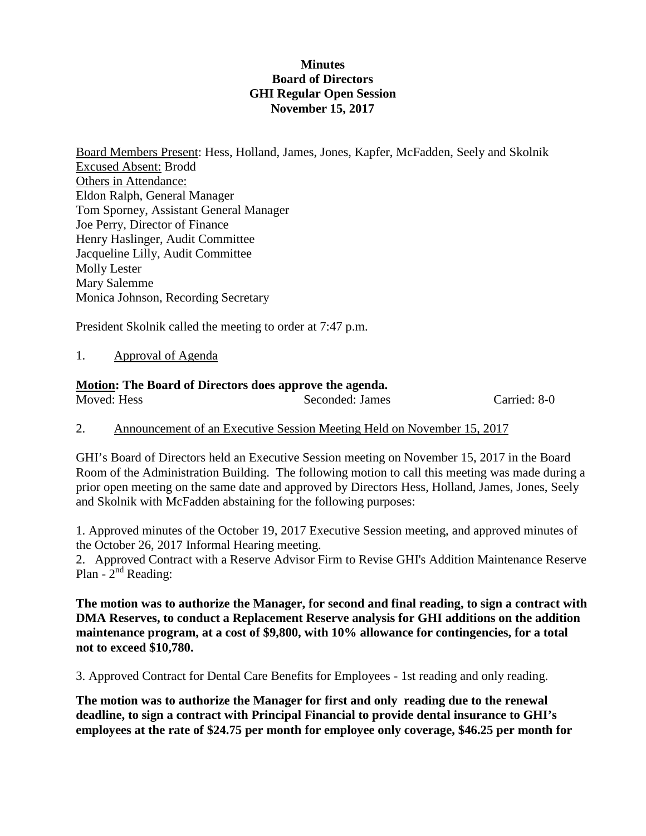# **Minutes Board of Directors GHI Regular Open Session November 15, 2017**

Board Members Present: Hess, Holland, James, Jones, Kapfer, McFadden, Seely and Skolnik Excused Absent: Brodd Others in Attendance: Eldon Ralph, General Manager Tom Sporney, Assistant General Manager Joe Perry, Director of Finance Henry Haslinger, Audit Committee Jacqueline Lilly, Audit Committee Molly Lester Mary Salemme Monica Johnson, Recording Secretary

President Skolnik called the meeting to order at 7:47 p.m.

1. Approval of Agenda

# **Motion: The Board of Directors does approve the agenda.**

Seconded: James Carried: 8-0

2. Announcement of an Executive Session Meeting Held on November 15, 2017

GHI's Board of Directors held an Executive Session meeting on November 15, 2017 in the Board Room of the Administration Building. The following motion to call this meeting was made during a prior open meeting on the same date and approved by Directors Hess, Holland, James, Jones, Seely and Skolnik with McFadden abstaining for the following purposes:

1. Approved minutes of the October 19, 2017 Executive Session meeting, and approved minutes of the October 26, 2017 Informal Hearing meeting.

2. Approved Contract with a Reserve Advisor Firm to Revise GHI's Addition Maintenance Reserve Plan -  $2<sup>nd</sup>$  Reading:

**The motion was to authorize the Manager, for second and final reading, to sign a contract with DMA Reserves, to conduct a Replacement Reserve analysis for GHI additions on the addition maintenance program, at a cost of \$9,800, with 10% allowance for contingencies, for a total not to exceed \$10,780.**

3. Approved Contract for Dental Care Benefits for Employees - 1st reading and only reading.

**The motion was to authorize the Manager for first and only reading due to the renewal deadline, to sign a contract with Principal Financial to provide dental insurance to GHI's employees at the rate of \$24.75 per month for employee only coverage, \$46.25 per month for**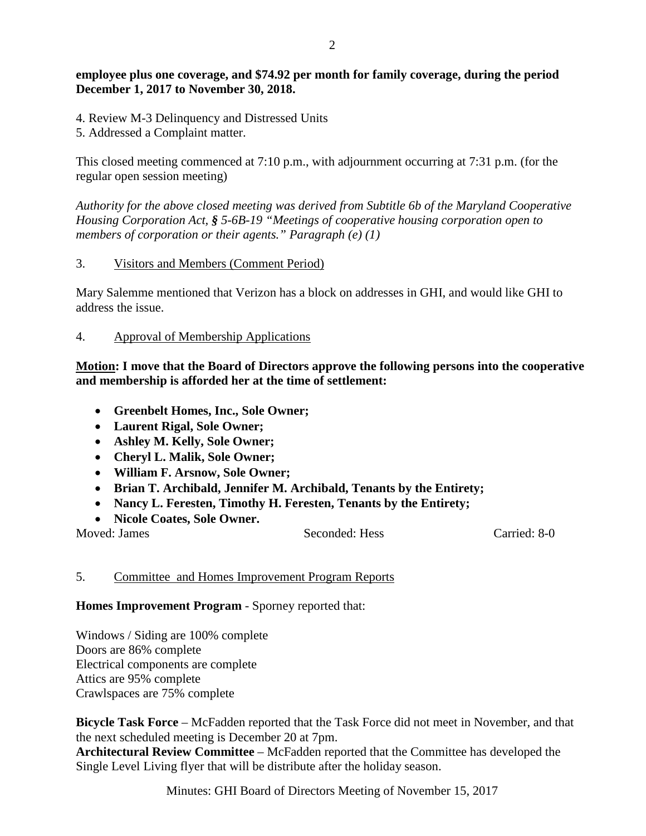# **employee plus one coverage, and \$74.92 per month for family coverage, during the period December 1, 2017 to November 30, 2018.**

- 4. Review M-3 Delinquency and Distressed Units
- 5. Addressed a Complaint matter.

This closed meeting commenced at 7:10 p.m., with adjournment occurring at 7:31 p.m. (for the regular open session meeting)

*Authority for the above closed meeting was derived from Subtitle 6b of the Maryland Cooperative Housing Corporation Act, § 5-6B-19 "Meetings of cooperative housing corporation open to members of corporation or their agents." Paragraph (e) (1)*

3. Visitors and Members (Comment Period)

Mary Salemme mentioned that Verizon has a block on addresses in GHI, and would like GHI to address the issue.

4. Approval of Membership Applications

### **Motion: I move that the Board of Directors approve the following persons into the cooperative and membership is afforded her at the time of settlement:**

- **Greenbelt Homes, Inc., Sole Owner;**
- **Laurent Rigal, Sole Owner;**
- **Ashley M. Kelly, Sole Owner;**
- **Cheryl L. Malik, Sole Owner;**
- **William F. Arsnow, Sole Owner;**
- **Brian T. Archibald, Jennifer M. Archibald, Tenants by the Entirety;**
- **Nancy L. Feresten, Timothy H. Feresten, Tenants by the Entirety;**
- **Nicole Coates, Sole Owner.**

Moved: James Seconded: Hess Carried: 8-0

#### 5. Committee and Homes Improvement Program Reports

**Homes Improvement Program** - Sporney reported that:

Windows / Siding are 100% complete Doors are 86% complete Electrical components are complete Attics are 95% complete Crawlspaces are 75% complete

**Bicycle Task Force** – McFadden reported that the Task Force did not meet in November, and that the next scheduled meeting is December 20 at 7pm.

**Architectural Review Committee** – McFadden reported that the Committee has developed the Single Level Living flyer that will be distribute after the holiday season.

Minutes: GHI Board of Directors Meeting of November 15, 2017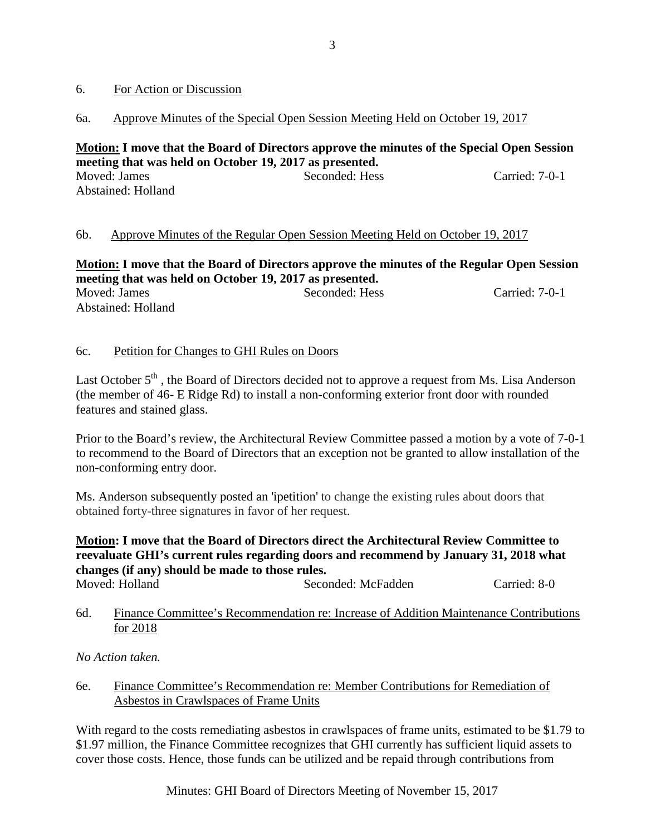### 6. For Action or Discussion

# 6a. Approve Minutes of the Special Open Session Meeting Held on October 19, 2017

#### **Motion: I move that the Board of Directors approve the minutes of the Special Open Session meeting that was held on October 19, 2017 as presented.** Moved: James Seconded: Hess Carried: 7-0-1 Abstained: Holland

# 6b. Approve Minutes of the Regular Open Session Meeting Held on October 19, 2017

**Motion: I move that the Board of Directors approve the minutes of the Regular Open Session meeting that was held on October 19, 2017 as presented.** Moved: James Seconded: Hess Carried: 7-0-1 Abstained: Holland

#### 6c. Petition for Changes to GHI Rules on Doors

Last October  $5<sup>th</sup>$ , the Board of Directors decided not to approve a request from Ms. Lisa Anderson (the member of 46- E Ridge Rd) to install a non-conforming exterior front door with rounded features and stained glass.

Prior to the Board's review, the Architectural Review Committee passed a motion by a vote of 7-0-1 to recommend to the Board of Directors that an exception not be granted to allow installation of the non-conforming entry door.

Ms. Anderson subsequently posted an 'ipetition' to change the existing rules about doors that obtained forty-three signatures in favor of her request.

# **Motion: I move that the Board of Directors direct the Architectural Review Committee to reevaluate GHI's current rules regarding doors and recommend by January 31, 2018 what changes (if any) should be made to those rules.**

Moved: Holland Seconded: McFadden Carried: 8-0

6d. Finance Committee's Recommendation re: Increase of Addition Maintenance Contributions for 2018

*No Action taken.*

#### 6e. Finance Committee's Recommendation re: Member Contributions for Remediation of Asbestos in Crawlspaces of Frame Units

With regard to the costs remediating asbestos in crawlspaces of frame units, estimated to be \$1.79 to \$1.97 million, the Finance Committee recognizes that GHI currently has sufficient liquid assets to cover those costs. Hence, those funds can be utilized and be repaid through contributions from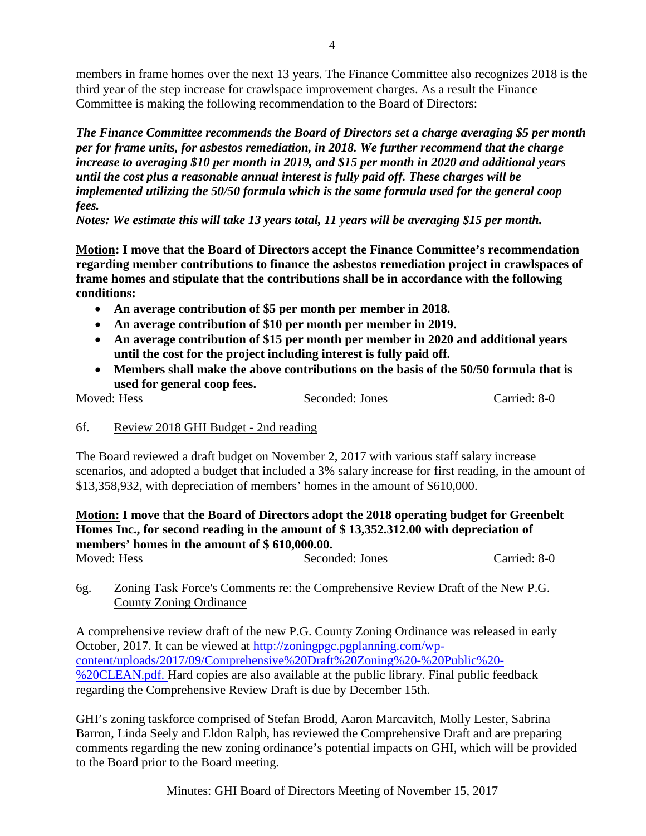members in frame homes over the next 13 years. The Finance Committee also recognizes 2018 is the third year of the step increase for crawlspace improvement charges. As a result the Finance Committee is making the following recommendation to the Board of Directors:

*The Finance Committee recommends the Board of Directors set a charge averaging \$5 per month per for frame units, for asbestos remediation, in 2018. We further recommend that the charge increase to averaging \$10 per month in 2019, and \$15 per month in 2020 and additional years until the cost plus a reasonable annual interest is fully paid off. These charges will be implemented utilizing the 50/50 formula which is the same formula used for the general coop fees.*

*Notes: We estimate this will take 13 years total, 11 years will be averaging \$15 per month.*

**Motion: I move that the Board of Directors accept the Finance Committee's recommendation regarding member contributions to finance the asbestos remediation project in crawlspaces of frame homes and stipulate that the contributions shall be in accordance with the following conditions:** 

- **An average contribution of \$5 per month per member in 2018.**
- **An average contribution of \$10 per month per member in 2019.**
- **An average contribution of \$15 per month per member in 2020 and additional years until the cost for the project including interest is fully paid off.**
- **Members shall make the above contributions on the basis of the 50/50 formula that is used for general coop fees.**

Moved: Hess Seconded: Jones Carried: 8-0

#### 6f. Review 2018 GHI Budget - 2nd reading

The Board reviewed a draft budget on November 2, 2017 with various staff salary increase scenarios, and adopted a budget that included a 3% salary increase for first reading, in the amount of \$13,358,932, with depreciation of members' homes in the amount of \$610,000.

# **Motion: I move that the Board of Directors adopt the 2018 operating budget for Greenbelt Homes Inc., for second reading in the amount of \$ 13,352.312.00 with depreciation of members' homes in the amount of \$ 610,000.00.**

| Moved: Hess | Seconded: Jones | Carried: 8-0 |
|-------------|-----------------|--------------|
|             |                 |              |

# 6g. Zoning Task Force's Comments re: the Comprehensive Review Draft of the New P.G. County Zoning Ordinance

A comprehensive review draft of the new P.G. County Zoning Ordinance was released in early October, 2017. It can be viewed at [http://zoningpgc.pgplanning.com/wp](http://zoningpgc.pgplanning.com/wp-content/uploads/2017/09/Comprehensive%20Draft%20Zoning%20-%20Public%20-%20CLEAN.pdf)[content/uploads/2017/09/Comprehensive%20Draft%20Zoning%20-%20Public%20-](http://zoningpgc.pgplanning.com/wp-content/uploads/2017/09/Comprehensive%20Draft%20Zoning%20-%20Public%20-%20CLEAN.pdf) [%20CLEAN.pdf.](http://zoningpgc.pgplanning.com/wp-content/uploads/2017/09/Comprehensive%20Draft%20Zoning%20-%20Public%20-%20CLEAN.pdf) Hard copies are also available at the public library. Final public feedback regarding the Comprehensive Review Draft is due by December 15th.

GHI's zoning taskforce comprised of Stefan Brodd, Aaron Marcavitch, Molly Lester, Sabrina Barron, Linda Seely and Eldon Ralph, has reviewed the Comprehensive Draft and are preparing comments regarding the new zoning ordinance's potential impacts on GHI, which will be provided to the Board prior to the Board meeting.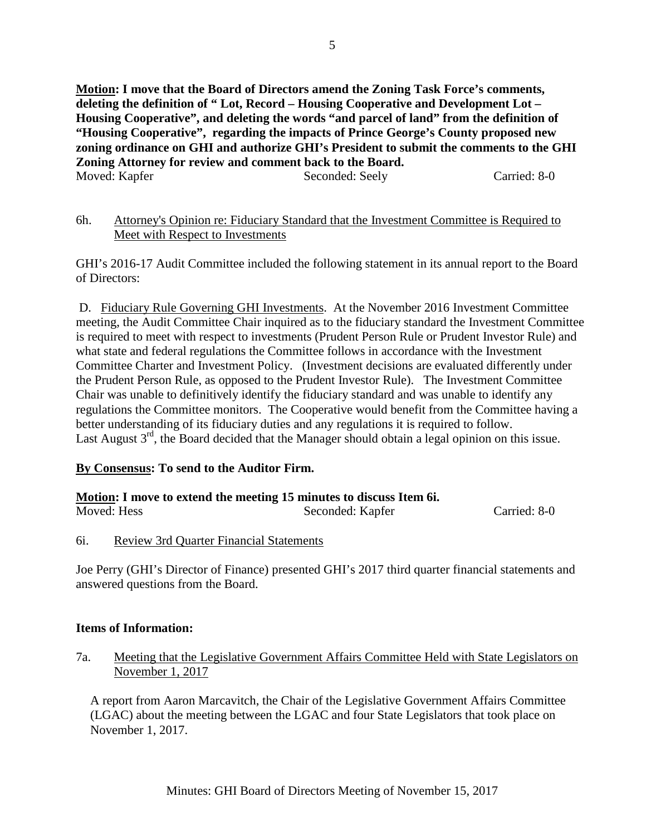**Motion: I move that the Board of Directors amend the Zoning Task Force's comments, deleting the definition of " Lot, Record – Housing Cooperative and Development Lot – Housing Cooperative", and deleting the words "and parcel of land" from the definition of "Housing Cooperative", regarding the impacts of Prince George's County proposed new zoning ordinance on GHI and authorize GHI's President to submit the comments to the GHI Zoning Attorney for review and comment back to the Board.**  Moved: Kapfer Seconded: Seely Carried: 8-0

| 6h. | Attorney's Opinion re: Fiduciary Standard that the Investment Committee is Required to |  |  |  |
|-----|----------------------------------------------------------------------------------------|--|--|--|
|     | Meet with Respect to Investments                                                       |  |  |  |

GHI's 2016-17 Audit Committee included the following statement in its annual report to the Board of Directors:

D. Fiduciary Rule Governing GHI Investments. At the November 2016 Investment Committee meeting, the Audit Committee Chair inquired as to the fiduciary standard the Investment Committee is required to meet with respect to investments (Prudent Person Rule or Prudent Investor Rule) and what state and federal regulations the Committee follows in accordance with the Investment Committee Charter and Investment Policy. (Investment decisions are evaluated differently under the Prudent Person Rule, as opposed to the Prudent Investor Rule). The Investment Committee Chair was unable to definitively identify the fiduciary standard and was unable to identify any regulations the Committee monitors. The Cooperative would benefit from the Committee having a better understanding of its fiduciary duties and any regulations it is required to follow. Last August 3<sup>rd</sup>, the Board decided that the Manager should obtain a legal opinion on this issue.

# **By Consensus: To send to the Auditor Firm.**

#### **Motion: I move to extend the meeting 15 minutes to discuss Item 6i.**

| Moved: Hess | Seconded: Kapfer | Carried: 8-0 |
|-------------|------------------|--------------|

6i. Review 3rd Quarter Financial Statements

Joe Perry (GHI's Director of Finance) presented GHI's 2017 third quarter financial statements and answered questions from the Board.

#### **Items of Information:**

7a. Meeting that the Legislative Government Affairs Committee Held with State Legislators on November 1, 2017

A report from Aaron Marcavitch, the Chair of the Legislative Government Affairs Committee (LGAC) about the meeting between the LGAC and four State Legislators that took place on November 1, 2017.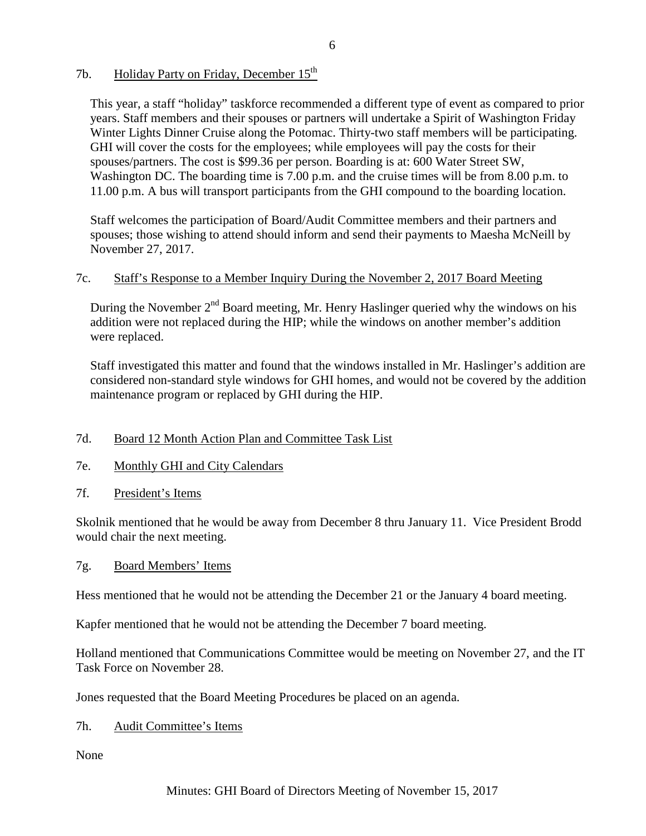# 7b. Holiday Party on Friday, December  $15<sup>th</sup>$

This year, a staff "holiday" taskforce recommended a different type of event as compared to prior years. Staff members and their spouses or partners will undertake a Spirit of Washington Friday Winter Lights Dinner Cruise along the Potomac. Thirty-two staff members will be participating. GHI will cover the costs for the employees; while employees will pay the costs for their spouses/partners. The cost is \$99.36 per person. Boarding is at: 600 Water Street SW, Washington DC. The boarding time is 7.00 p.m. and the cruise times will be from 8.00 p.m. to 11.00 p.m. A bus will transport participants from the GHI compound to the boarding location.

Staff welcomes the participation of Board/Audit Committee members and their partners and spouses; those wishing to attend should inform and send their payments to Maesha McNeill by November 27, 2017.

# 7c. Staff's Response to a Member Inquiry During the November 2, 2017 Board Meeting

During the November  $2<sup>nd</sup>$  Board meeting, Mr. Henry Haslinger queried why the windows on his addition were not replaced during the HIP; while the windows on another member's addition were replaced.

Staff investigated this matter and found that the windows installed in Mr. Haslinger's addition are considered non-standard style windows for GHI homes, and would not be covered by the addition maintenance program or replaced by GHI during the HIP.

# 7d. Board 12 Month Action Plan and Committee Task List

- 7e. Monthly GHI and City Calendars
- 7f. President's Items

Skolnik mentioned that he would be away from December 8 thru January 11. Vice President Brodd would chair the next meeting.

# 7g. Board Members' Items

Hess mentioned that he would not be attending the December 21 or the January 4 board meeting.

Kapfer mentioned that he would not be attending the December 7 board meeting.

Holland mentioned that Communications Committee would be meeting on November 27, and the IT Task Force on November 28.

Jones requested that the Board Meeting Procedures be placed on an agenda.

7h. Audit Committee's Items

None